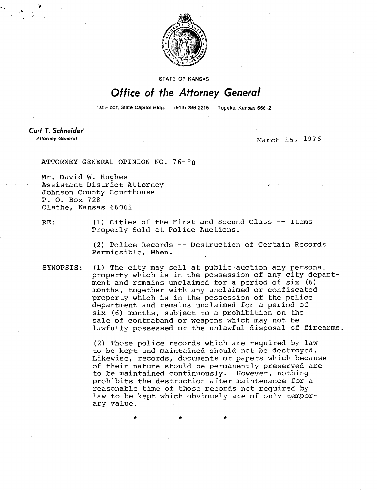

STATE OF KANSAS

## Office of the Attorney General

1st Floor, State Capitol Bldg. (913) 296-2215 Topeka, Kansas 66612

Curt T. Schneider **Attorney General** 

March 15. 1976

ATTORNEY GENERAL OPINION NO. 76-8

Mr. David W. Hughes Assistant District Attorney Johnson County Courthouse P. 0. Box 728 Olathe, Kansas 66061

RE: (1) Cities of the First and Second Class -- Items Properly Sold at Police Auctions.

> (2) Police Records -- Destruction of Certain Records Permissible, When.

SYNOPSIS: (1) The city may sell at public auction any personal property which is in the possession of any city department and remains unclaimed for a period of six (6) months, together with any unclaimed or confiscated property which is in the possession of the police department and remains unclaimed for a period of six (6) months, subject to a prohibition on the sale of contraband or weapons which may not be lawfully possessed or the unlawful disposal of firearms.

> (2) Those police records which are required by law to be kept and maintained should not be destroyed. Likewise, records, documents or papers which because of their nature should be permanently preserved are to be maintained continuously. However, nothing prohibits the destruction after maintenance for a reasonable time of those records not required by law to be kept which obviously are of only temporary value.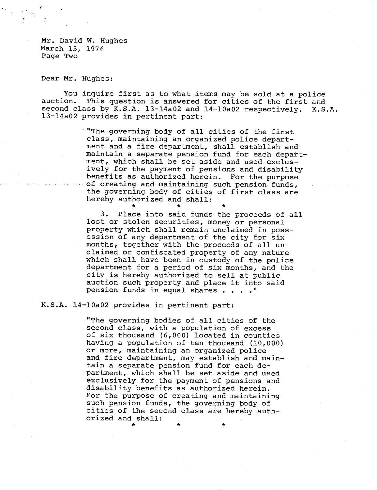Mr. David W. Hughes March 15, 1976 Page Two

Dear Mr. Hughes:

You inquire first as to what items may be sold at a police auction. This question is answered for cities of the first and second class by K.S.A. 13-14a02 and 14-10a02 respectively. K.S.A. 13-14a02 provides in pertinent part:

> '"The governing body of all cities of the first class, maintaining an organized police department and a fire department, shall establish and maintain a separate pension fund for each department, which shall be set aside and used exclusively for the payment of pensions and disability benefits as authorized herein. For the purpose of creating and maintaining such pension funds, the governing body of cities of first class are hereby authorized and shall:

3. Place into said funds the proceeds of all lost or stolen securities, money or personal property which shall remain unclaimed in possession of any department of the city for six months, together with the proceeds of all unclaimed or confiscated property of any nature which shall have been in custody of the police department for a period of six months, and the city is hereby authorized to sell at public auction such property and place it into said pension funds in equal shares . . . ."

K.S.A. 14-10a02 provides in pertinent part:

"The governing bodies of all cities of the second class, with a population of excess of six thousand (6,000) located in counties having a population of ten thousand (10,000) or more, maintaining an organized police and fire department, may establish and maintain a separate pension fund for each department, which shall be set aside and used exclusively for the payment of pensions and disability benefits as authorized herein. For the purpose of creating and maintaining such pension funds, the governing body of cities of the second class are hereby authorized and shall: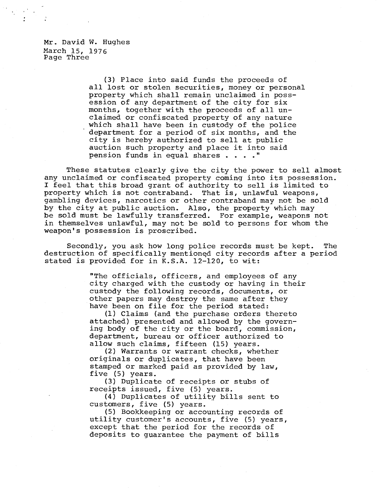Mr. David W. Hughes March 15, 1976 Page Three

> (3) Place into said funds the proceeds of all lost or stolen securities, money or personal property which shall remain unclaimed in possession of any department of the city for six months, together with the proceeds of all unclaimed or confiscated property of any nature which shall have been in custody of the police department for a period of six months, and the city is hereby authorized to sell at public auction such property and place it into said pension funds in equal shares . . . ."

These statutes clearly give the city the power to sell almost any unclaimed or confiscated property coming into its possession. I feel that this broad grant of authority to sell is limited to property which is not contraband. That is, unlawful weapons, gambling devices, narcotics or other contraband may not be sold by the city at public auction. Also, the property which may be sold must be lawfully transferred. For example, weapons not in themselves unlawful, may not be sold to persons for whom the weapon's possession is proscribed.

Secondly, you ask how long police records must be kept. The destruction of specifically mentioned city records after a period stated is provided for in K.S.A. 12-120, to wit:

> "The officials, officers, and employees of any city charged with the custody or having in their custody the following records, documents, or other papers may destroy the same after they have been on file for the period stated:

(1) Claims (and the purchase orders thereto attached) presented and allowed by the governing body of the city or the board, commission, department, bureau or officer authorized to allow such claims, fifteen (15) years.

(2) Warrants or warrant checks, whether originals or duplicates, that have been stamped or marked paid as provided by law, five (5) years.

(3) Duplicate of receipts or stubs of receipts issued, five (5) years.

(4) Duplicates of utility bills sent to customers, five (5) years.

(5) Bookkeeping or accounting records of utility customer's accounts, five (5) years, except that the period for the records of deposits to guarantee the payment of bills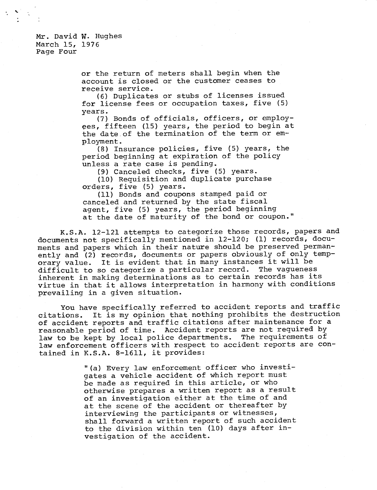## Mr. David W. Hughes March 15, 1976 Page Four

or the return of meters shall begin when the account is closed or the customer ceases to receive service.

(6) Duplicates or stubs of licenses issued for license fees or occupation taxes, five (5) years.

(7) Bonds of officials, officers, or employees, fifteen (15) years, the period to begin at the date of the termination of the term or employment.

(8) Insurance policies, five (5) years, the period beginning at expiration of the policy unless a rate case is pending.

(9) Canceled checks, five (5) years.

(10) Requisition and duplicate purchase orders, five (5) years.

(11) Bonds and coupons stamped paid or canceled and returned by the state fiscal agent, five (5) years, the period beginning at the date of maturity of the bond or coupon."

K.S.A. 12-121 attempts to categorize those records, papers and documents not specifically mentioned in 12-120; (1) records, documents and papers which in their nature should be preserved permanently and (2) records, documents or papers obviously of only temporary value. It is evident that in many instances it will be difficult to so categorize a particular record. The vagueness inherent in making determinations as to certain records has its virtue in that it allows interpretation in harmony with conditions prevailing in a given situation.

You have specifically referred to accident reports and traffic citations. It is my opinion that nothing prohibits the destruction of accident reports and traffic citations after maintenance for a reasonable period of time. Accident reports are not required by law to be kept by local police departments. The requirements of law enforcement officers with respect to accident reports are contained in K.S.A. 8-1611, it provides:

> "(a) Every law enforcement officer who investigates a vehicle accident of which report must be made as required in this article, or who otherwise prepares a written report as a result of an investigation either at the time of and at the scene of the accident or thereafter by interviewing the participants or witnesses, shall forward a written report of such accident to the division within ten (10) days after investigation of the accident.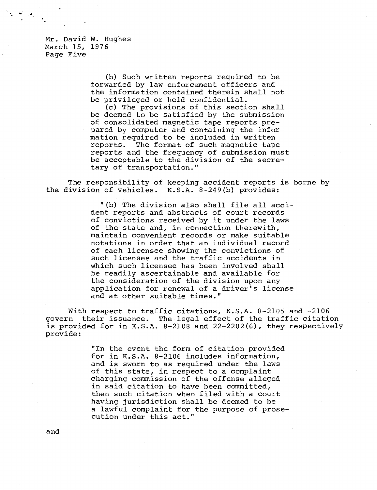Mr. David W. Hughes March 15, 1976 Page Five

> (b) Such written reports required to be forwarded by law enforcement officers and the information contained therein shall not be privileged or held confidential.

(c) The provisions of this section shall be deemed to be satisfied by the submission of consolidated magnetic tape reports pre- . pared by computer and containing the information required to be included in written reports. The format of such magnetic tape reports and the frequency of submission must be acceptable to the division of the secretary of transportation."

The responsibility of keeping accident reports is borne by the division of vehicles. K.S.A. 8-249(b) provides:

> "(b) The division also shall file all accident reports and abstracts of court records of convictions received by it under the laws of the state and, in connection therewith, maintain convenient records or make suitable notations in order that an individual record of each licensee showing the convictions of such licensee and the traffic accidents in which such licensee has been involved shall be readily ascertainable and available for the consideration of the division upon any application for renewal of a driver's license and at other suitable times."

With respect to traffic citations, K.S.A. 8-2105 and -2106 govern their issuance. The legal effect of the traffic citation is provided for in K.S.A. 8-2108 and 22-2202(6), they respectively provide:

> "In the event the form of citation provided for in K.S.A. 8-2106 includes information, and is sworn to as required under the laws of this state, in respect to a complaint charging commission of the offense alleged in said citation to have been committed, then such citation when filed with a court having jurisdiction shall be deemed to be a lawful complaint for the purpose of prosecution under this act."

and